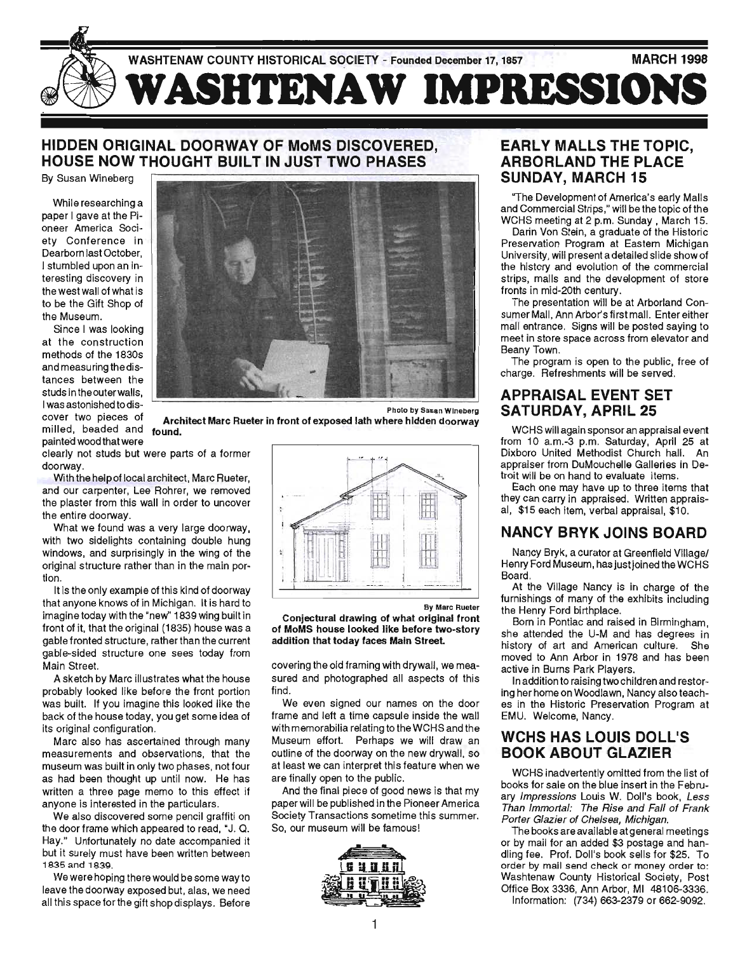

## **HIDDEN ORIGINAL DOORWAY OF MoMS DISCOVERED, HOUSE NOW THOUGHT BUILT IN JUST TWO PHASES**

By Susan Wineberg

While researching a paper I gave at the Pioneer America Society Conference in Dearborn last October, I stumbled upon an interesting discovery in the west wall of what is to be the Gift Shop of the Museum.

Since I was looking at the construction methods of the 1830s and measuring the distances between the studs in the outer walls, I was astonished to discover two pieces of milled, beaded and painted wood that were



Photo by Susan Wineberg

**Architect Marc Rueter in front of exposed lath where hidden doorway found.** 

clearly not studs but were parts of a former doorway.

With the help of local architect, Marc Rueter, and our carpenter, Lee Rohrer, we removed the plaster from this wall in order to uncover the entire doorway.

What we found was a very large doorway, with two sidelights containing double hung windows, and surprisingly in the wing of the original structure rather than in the main portion.

It is the only example of this kind of doorway that anyone knows of in Michigan. It is hard to imagine today with the "new" 1839 wing built in front of it, that the original (1835) house was a gable fronted structure, rather than the current gable-sided structure one sees today from Main Street.

A sketch by Marc illustrates what the house probably looked like before the front portion was built. If you imagine this looked like the back of the house today, you get some idea of its original configuration.

Marc also has ascertained through many measurements and observations, that the museum was built in only two phases, not four as had been thought up until now. He has written a three page memo to this effect if anyone is interested in the particulars.

We also discovered some pencil graffiti on the door frame which appeared to read, "J. Q. Hay." Unfortunately no date accompanied it but it surely must have been written between 1835 and 1839,

We were hoping there would be some way to leave the doorway exposed but, alas, we need all this space for the gift shop displays. Before



By Marc Rueter

**Conjectural drawing of what original front of MoMS house looked like before two-story addition that today faces Main Street** 

covering the old framing with drywall, we measured and photographed all aspects of this find.

We even signed our names on the door frame and left a time capsule inside the wall with memorabilia relating to the WCHS and the Museum effort. Perhaps we will draw an outline of the doorway on the new drywall, so at least we can interpret this feature when we are finally open to the public.

And the final piece of good news is that my paper will be published in the Pioneer America Society Transactions sometime this summer. So, our museum will be famous!



## **EARLY MALLS THE TOPIC. ARBORLANDTHEPLACE**  SUNDAY, MARCH 15

"The Development of America's early Malls and Commercial Strips," will be the topic of the WCHS meeting at 2 p.m. Sunday, March 15,

Darin Von Stein, a graduate of the Historic Preservation Program at Eastern Michigan University, will present a detailed slide show of the history and evolution of the commercial strips, malls and the development of store fronts in mid-20th century.

The presentation will be at Arborland Consumer Mall, Ann Arbor's first mall. Enter either mall entrance. Signs will be posted saying to meet in store space across from elevator and Beany Town.

The program is open to the public, free of charge. Refreshments will be served.

#### **APPRAISAL EVENT SET SATURDAY, APRIL 25**

WCHS will again sponsor an appraisal event from 10 a.m.-3 p.m. Saturday, April 25 at Dixboro United Methodist Church hall. An appraiser from DuMouchelle Galleries in Detroit will be on hand to evaluate items.

Each one may have up to three items that they can carry in appraised. Written appraisal, \$15 each item, verbal appraisal, \$10.

#### **NANCY BRYK JOINS BOARD**

Nancy Bryk, a curator at Greenfield Village/ Henry Ford Museum, has just joined the WCHS Board.

At the Village Nancy is in charge of the furnishings of many of the exhibits including the Henry Ford birthplace.

Born in Pontiac and raised in Birmingham, she attended the U-M and has degrees in history of art and American culture. She moved to Ann Arbor in 1978 and has been active in Burns Park Players.

In addition to raising two children and restoring her home on Woodlawn, Nancy also teaches in the Historic Preservation Program at EMU. Welcome, Nancy.

#### WCHS HAS LOUIS DOLL'S **BOOK ABOUT GLAZIER**

WCHS inadvertently omitted from the list of books for sale on the blue insert in the February Impressions Louis W. Doll's book, Less Than Immortal: The Rise and Fall of Frank Porter Glazier of Chelsea, Michigan.

The books are available at general meetings or by mail for an added \$3 postage and handling fee. Prof. Doll's book sells for \$25. To order by mail send check or money order to: Washtenaw County Historical Society, Post Office Box 3336, Ann Arbor, MI 48106-3336,

Information: (734) 663-2379 or 662-9092.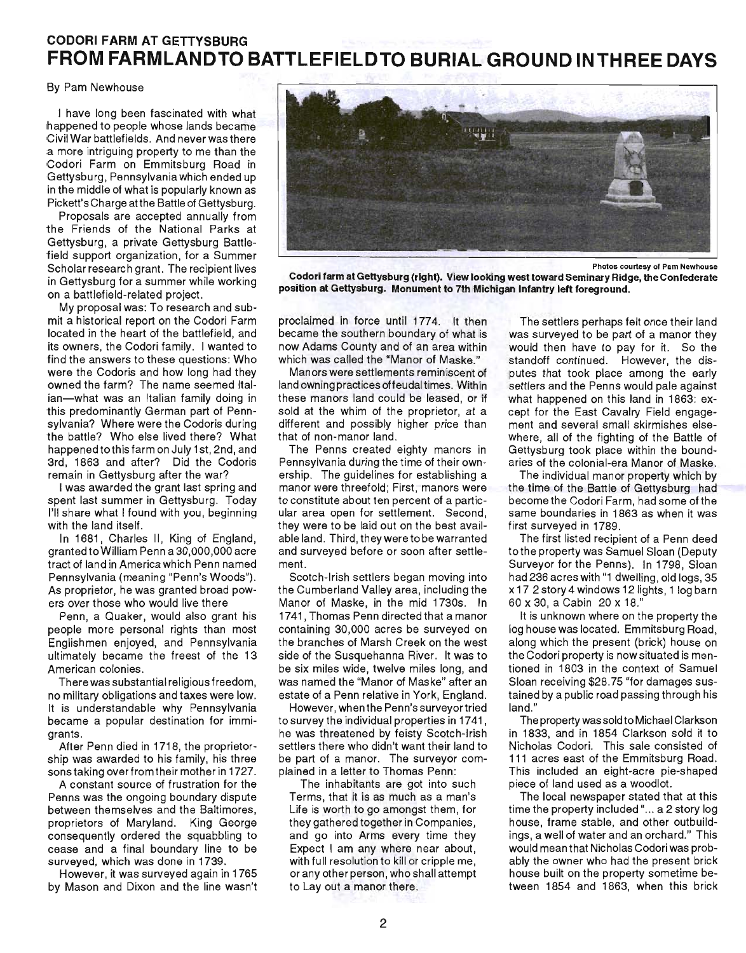## **CODORI FARM AT GETTYSBURG FROM FARMLANDTO BATTLEFIELDTO BURIAL GROUND INTHREE DAYS**

#### By Pam Newhouse

I have long been fascinated with what happened to people whose lands became Civil War battlefields. And never was there a more intriguing property to me than the Codori Farm on Emmitsburg Road in Gettysburg, Pennsylvania which ended up in the middle of what is popularly known as Pickett's Charge atthe Battle of Gettysburg.

Proposals are accepted annually from the Friends of the National Parks at Gettysburg, a private Gettysburg Battlefield support organization, for a Summer Scholar research grant. The recipient lives in Gettysburg for a summer while working on a battlefield-related project.

My proposal was: To research and submit a historical report on the Codori Farm located in the heart of the battlefield, and its owners, the Codori family. I wanted to find the answers to these questions: Who were the Codoris and how long had they owned the farm? The name seemed Italian-what was an Italian family doing in this predominantly German part of Pennsylvania? Where were the Codoris during the battle? Who else lived there? What happenedtothisfarm on July 1st, 2nd, and 3rd, 1863 and after? Did the Codoris remain in Gettysburg after the war?

I was awarded the grant last spring and spent last summer in Gettysburg. Today I'll share what I found with you, beginning with the land itself.

In 1681, Charles II, King of England, granted to William Penn a 30,000,000 acre tract of land in America which Penn named Pennsylvania (meaning "Penn's Woods"). As proprietor, he was granted broad powers over those who would live there

Penn, a Quaker, would also grant his people more personal rights than most Englishmen enjoyed, and Pennsylvania ultimately became the freest of the 13 American colonies.

There was substantial religious freedom, no military obligations and taxes were low. It is understandable why Pennsylvania became a popular destination for immigrants.

After Penn died in 1718, the proprietorship was awarded to his family, his three sons taking over from their mother in 1727.

A constant source of frustration for the Penns was the ongoing boundary dispute between themselves and the Baltimores, proprietors of Maryland. King George consequently ordered the squabbling to cease and a final boundary line to be surveyed, which was done in 1739.

However, it was surveyed again in 1765 by Mason and Dixon and the line wasn't



Photos courtesy 01 Pam Newhouse

Codori farm at Gettysburg (right). View looking west toward Seminary Ridge, the Confederate position at Gettysburg. Monument to 7th Michigan Infantry left foreground.

proclaimed in force until 1774. It then became the southern boundary of what is now Adams County and of an area within which was called the "Manor of Maske."

Manors were settlements reminiscent of land owning practices offeudal times. Within these manors land could be leased, or if sold at the whim of the proprietor, at a different and possibly higher price than that of non-manor land.

The Penns created eighty manors in Pennsylvania during the time of their ownership. The guidelines for establishing a manor were threefold; First, manors were to constitute about ten percent of a particular area open for settlement. Second, they were to be laid out on the best available land. Third, they were to be warranted and surveyed before or soon after settlement.

Scotch-Irish settlers began moving into the Cumberland Valley area, including the Manor of Maske, in the mid 1730s. In 1741, Thomas Penn directed that a manor containing 30,000 acres be surveyed on the branches of Marsh Creek on the west side of the Susquehanna River. It was to be six miles wide, twelve miles long, and was named the "Manor of Maske" after an estate of a Penn relative in York, England.

However, when the Penn's surveyor tried to survey the individual properties in 1741, he was threatened by feisty Scotch-Irish settlers there who didn't want their land to be part of a manor. The surveyor complained in a letter to Thomas Penn:

The inhabitants are got into such Terms, that it is as much as a man's Life is worth to go amongst them, for they gathered together in Companies, and go into Arms every time they Expect I am any where near about, with full resolution to kill or cripple me, or any other person, who shall attempt to Lay out a manor there.

The settlers perhaps felt once their land was surveyed to be part of a manor they would then have to pay for it. So the standoff continued. However, the disputes that took place among the early settlers and the Penns would pale against what happened on this land in 1863: except for the East Cavalry Field engagement and several small skirmishes elsewhere, all of the fighting of the Battle of Gettysburg took place within the boundaries of the colonial-era Manor of Maske.

The individual manor property which by the time of the Battle of Gettysburg had become the Codori Farm, had some of the same boundaries in 1863 as when it was first surveyed in 1789.

The first listed recipient of a Penn deed to the property was Samuel Sloan (Deputy Surveyor for the Penns). In 1798, Sloan had 236 acres with "1 dwelling, old logs, 35 x 17 2 story 4 windows 12 lights, 1 log barn 60 x 30, a Cabin 20 x 18."

It is unknown where on the property the log house was located. Emmitsburg Road, along which the present (brick) house on the Codori property is now situated is mentioned in 1803 in the context of Samuel Sloan receiving \$28.75 "for damages sustained by a public road passing through his land."

The property was sold to Michael Clarkson in 1833, and in 1854 Clarkson sold it to Nicholas Codori. This sale consisted of 111 acres east of the Emmitsburg Road. This included an eight-acre pie-shaped piece of land used as a woodlot.

The local newspaper stated that at this time the property included "... a 2 story log house, frame stable, and other outbuildings, a well of water and an orchard." This would mean that Nicholas Codori was probably the owner who had the present brick house built on the property sometime between 1854 and 1863, when this brick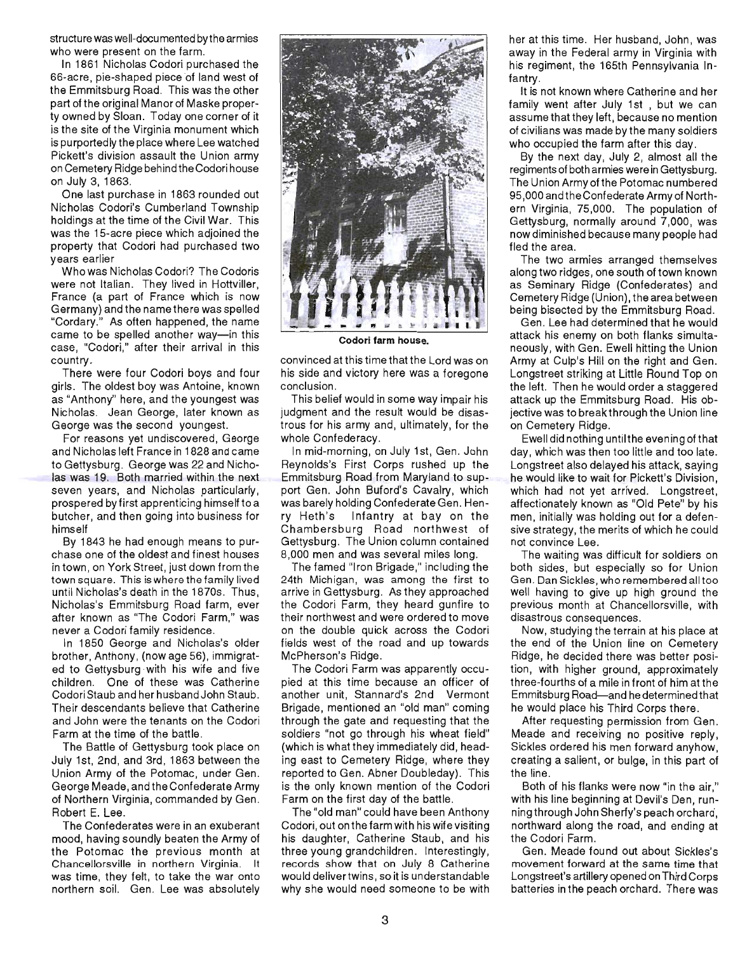structure was well-documented by the armies who were present on the farm.

In 1861 Nicholas Codori purchased the 66-acre, pie-shaped piece of land west of the Emmitsburg Road. This was the other part of the original Manor of Maske property owned by Sloan. Today one corner of it is the site of the Virginia monument which is purportedly the place where Lee watched Pickett's division assault the Union army on Cemetery Ridge behind the Codori house on July 3, 1863.

One last purchase in 1863 rounded out Nicholas Codori's Cumberland Township holdings at the time of the Civil War. This was the 15-acre piece which adjoined the property that Codori had purchased two years earlier

Who was Nicholas Codori? The Codoris were not Italian. They lived in Hottviller, France (a part of France which is now Germany) and the name there was spelled "Cordary." As often happened, the name came to be spelled another way-in this case, "Codori," after their arrival in this country .

There were four Codori boys and four girls. The oldest boy was Antoine, known as "Anthony" here, and the youngest was Nicholas. Jean George, later known as George was the second youngest.

For reasons yet undiscovered, George and Nicholas left France in 1828 and came to Gettysburg. George was 22 and Nicholas was 19. Both married within the next seven years, and Nicholas particularly, prospered by first apprenticing himself to a butcher, and then going into business for himself

By 1843 he had enough means to purchase one of the oldest and finest houses in town, on York Street, just down from the town square. This is where the family lived until Nicholas's death in the 1870s. Thus, Nicholas's Emmitsburg Road farm, ever after known as "The Codori Farm," was never a Codori family residence.

In 1850 George and Nicholas's older brother, Anthony, (now age 56). immigrated to Gettysburg with his wife and five children. One of these was Catherine Codori Staub and her husband John Staub. Their descendants believe that Catherine and John were the tenants on the Codori Farm at the time of the battle.

The Battle of Gettysburg took place on July 1st, 2nd, and 3rd, 1863 between the Union Army of the Potomac, under Gen. George Meade, and the Confederate Army of Northern Virginia, commanded by Gen. Robert E. Lee.

The Confederates were in an exuberant mood, having soundly beaten the Army of the Potomac the previous month at Chancellorsville in northern Virginia. It was time, they felt, to take the war onto northern soil. Gen. Lee was absolutely



**Codori farm** house.

convinced at this time that the Lord was on his side and victory here was a foregone conclusion.

This belief would in some way impair his judgment and the result would be disastrous for his army and, ultimately, for the whole Confederacy.

In mid-morning, on July 1st, Gen. John Reynolds's First Corps rushed up the Emmitsburg Road from Maryland to support Gen. John Buford's Cavalry, which was barely holding Confederate Gen. Henry Heth's Infantry at bay on the Chambersburg Road northwest of Gettysburg. The Union column contained 8,000 men and was several miles long.

The famed "Iron Brigade," including the 24th Michigan, was among the first to arrive in Gettysburg. As they approached the Codori Farm, they heard gunfire to their northwest and were ordered to move on the double quick across the Codori fields west of the road and up towards McPherson's Ridge.

The Codori Farm was apparently occupied at this time because an officer of another unit, Stannard's 2nd Vermont Brigade, mentioned an "old man" coming through the gate and requesting that the soldiers "not go through his wheat field" (which is what they immediately did, heading east to Cemetery Ridge, where they reported to Gen. Abner Doubleday). This is the only known mention of the Codori Farm on the first day of the battle.

The "old man" could have been Anthony Codori, out on the farm with his wife visiting . his daughter, Catherine Staub, and his three young grandchildren. Interestingly, records show that on July 8 Catherine would delivertwins, so it is understandable why she would need someone to be with her at this time. Her husband, John, was away in the Federal army in Virginia with his regiment, the 165th Pennsylvania Infantry.

It is not known where Catherine and her family went after July 1st , but we can assume that they left, because no mention of civilians was made by the many soldiers who occupied the farm after this day.

By the next day, July 2, almost all the regiments of both armies were in Gettysburg. The Union Army of the Potomac numbered 95,000 and the Confederate Army of Northern Virginia, 75,000. The population of Gettysburg, normally around 7,000, was now diminished because many people had fled the area.

The two armies arranged themselves along two ridges, one south of town known as Seminary Ridge (Confederates) and Cemetery Ridge (Union), the area between being bisected by the Emmitsburg Road.

Gen. Lee had determined that he would attack his enemy on both flanks simultaneously, with Gen. Ewell hitting the Union Army at Culp's Hill on the right and Gen. Longstreet striking at Little Round Top on the left. Then he would order a staggered attack up the Emmitsburg Road. His objective was to breakthrough the Union line on Cemetery Ridge.

Ewell did nothing until the evening of that day, wh ich was then too little and too late. Longstreet also delayed his attack, saying he would like to wait for Pickett's Division, which had not yet arrived. Longstreet, affectionately known as "Old Pete" by his men, initially was holding out for a defensive strategy, the merits of which he could not convince Lee.

The waiting was difficult for soldiers on both sides, but especially so for Union Gen. Dan Sickles, who remembered all too well having to give up high ground the previous month at Chancellorsville, with disastrous consequences.

Now, studying the terrain at his place at the end of the Union line on Cemetery Ridge, he decided there was better position, with higher ground, approximately three-fourths of a mile in front of him at the Emmitsburg Road-and he determined that he would place his Third Corps there.

After requesting permission from Gen. Meade and receiving no positive reply, Sickles ordered his men forward anyhow, creating a salient, or bulge, in this part of the line.

Both of his flanks were now "in the air," with his line beginning at Devil's Den, running through John Sherfy's peach orchard, northward along the road, and ending at the Codori Farm.

Gen. Meade found out about Sickles's movement forward at the same time that Longstreet's artillery opened on Third Corps batteries in the peach orchard. There was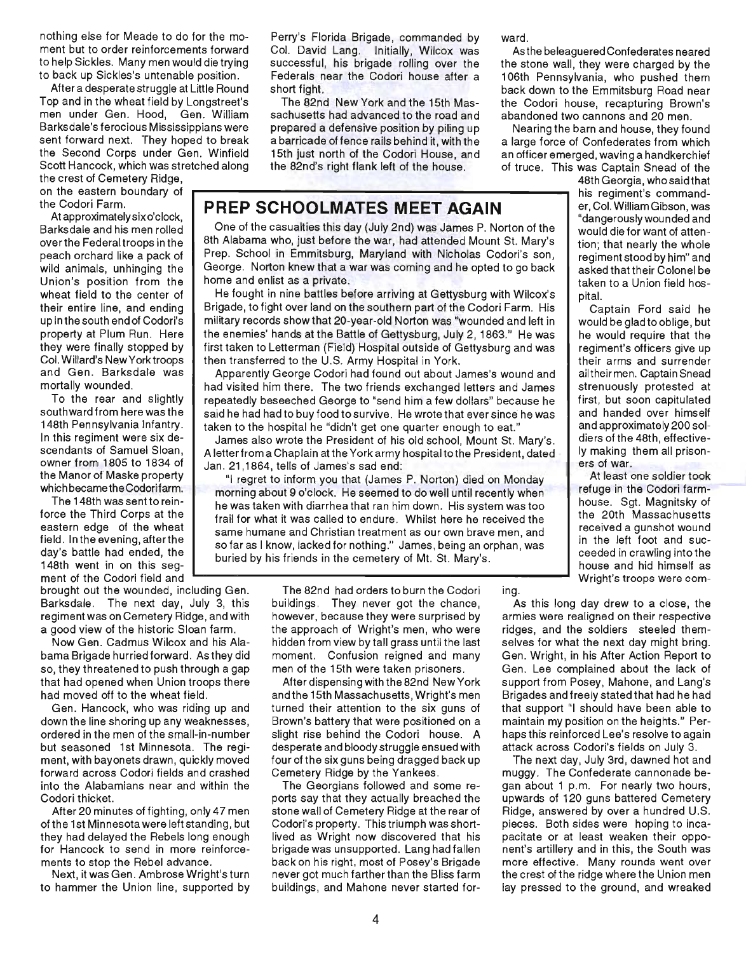nothing else for Meade to do for the moment but to order reinforcements forward to help Sickles. Many men would die trying to back up Sickles's untenable position.

After a desperate struggle at Little Round Top and in the wheat field by Longstreet's men under Gen. Hood, Gen. William Barksdale's ferocious Mississippians were sent forward next. They hoped to break the Second Corps under Gen. Winfield Scott Hancock, which was stretched along

the crest of Cemetery Ridge, on the eastern boundary of

At approximately six o'clock, Barksdale and his men rolled overthe Federaltroops in the peach orchard like a pack of wild animals, unhinging the Union's position from the wheat field to the center of their entire line, and ending up in the south end of Codori's property at Plum Run. Here they were finally stopped by Col. Willard's New York troops and Gen. Barksdale was mortally wounded.

To the rear and slightly southward from here was the 148th Pennsylvania Infantry. In this regiment were six descendants of Samuel Sloan, owner from 1805 to 1834 of the Manor of Maske property which became the Codorifarm.

The 148th was sentto reinforce the Third Corps at the eastern edge of the wheat field. In the evening, after the day's battle had ended, the 148th went in on this segment of the Codori field and

brought out the wounded, including Gen. Barksdale. The next day, July 3, this regiment was on Cemetery Ridge, and with a good view of the historic Sloan farm.

Now Gen. Cadmus Wilcox and his Alabama Brigade hurried forward. As they did so, they threatened to push through a gap that had opened when Union troops there had moved off to the wheat field.

Gen. Hancock, who was riding up and down the line shoring up any weaknesses , ordered in the men of the small-in-number but seasoned 1st Minnesota. The regiment, with bayonets drawn, quickly moved forward across Codori fields and crashed into the Alabamians near and within the Codori thicket.

After 20 minutes of fighting, only 47 men of the 1st Minnesota were left standing, but they had delayed the Rebels long enough for Hancock to send in more reinforcements to stop the Rebel advance.

Next, it was Gen. Ambrose Wright's turn to hammer the Union line, supported by

Perry's Florida Brigade, commanded by Col. David Lang. Initially, Wilcox was successful, his brigade rolling over the Federals near the Codori house after a short fight.

The 82nd New York and the 15th Massachusetts had advanced to the road and prepared a defensive position by piling up a barricade of fence rails behind it, with the 15th just north of the Codori House, and the 82nd's right flank left of the house.

# the Codori Farm. . **PREP SCHOOLMATES MEET AGAIN**

One of the casualties this day (July 2nd) was James P. Norton of the 8th Alabama who, just before the war, had attended Mount St. Mary's Prep. School in Emmitsburg, Maryland with Nicholas Codori's son, George. Norton knew that a war was coming and he opted to go back home and enlist as a private.

He fought in nine battles before arriving at Gettysburg with Wilcox's  $\parallel$  pital. Brigade, to fight over land on the southern part of the Codori Farm. His military records show that 20-year-old Norton was "wounded and left in the enemies' hands at the Battle of Gettysburg, July 2,1863." He was first taken to Letterman (Field) Hospital outside of Gettysburg and was then transferred to the U.S. Army Hospital in York.

Apparently George Codori had found out about James's wound and had visited him there. The two friends exchanged letters and James repeatedly beseeched George to "send him a few dollars" because he said he had had to buy food to survive. He wrote that ever since he was taken to the hospital he "didn't get one quarter enough to eat."

James also wrote the President of his old school, Mount St. Mary's. A letter from a Chaplain at the York army hospital to the President, dated Jan. 21,1864, tells of James's sad end:

"I regret to inform you that (James P. Norton) died on Monday morning about 9 o'clock. He seemed to do well until recently when he was taken with diarrhea that ran him down. His system was too frail for what it was called to endure. Whilst here he received the same humane and Christian treatment as our own brave men, and so far as I know, lacked for nothing ." James, being an orphan, was buried by his friends in the cemetery of Mt. St. Mary's.<br>house and hid himself as

> The 82nd had orders to burn the Codori buildings. They never got the chance, however, because they were surprised by the approach of Wright's men, who were hidden from view by tall grass until the last moment. Confusion reigned and many men of the 15th were taken prisoners.

After dispensing with the 82nd New York and the 15th Massachusetts, Wright's men turned their attention to the six guns of Brown's battery that were positioned on a slight rise behind the Codori house. A desperate and bloody struggle ensued with four of the six guns being dragged back up Cemetery Ridge by the Yankees .

The Georgians followed and some reports say that they actually breached the stone wall of Cemetery Ridge at the rear of Codori's property. This triumph was shortlived as Wright now discovered that his brigade was unsupported. Lang had fallen back on his right, most of Posey's Brigade never got much farther than the Bliss farm buildings, and Mahone never started forward.

ing.

As the beleaguered Confederates neared the stone wall, they were charged by the 106th Pennsylvania, who pushed them back down to the Emmitsburg Road near the Codori house, recapturing Brown's abandoned two cannons and 20 men.

Nearing the barn and house, they found a large force of Confederates from which an officer emerged, waving a handkerchief of truce. This was Captain Snead of the

48th Georgia, who said that his regiment's commander, Col. William Gibson, was "dangerously wounded and would die for want of attention; that nearly the whole regiment stood by him" and asked that their Colonel be taken to a Union field hos-

Captain Ford said he would be gladto oblige, but he would require that the regiment's officers give up their arms and surrender ailtheirmen. Captain Snead strenuously protested at first, but soon capitulated and handed over himself and approximately 200 soldiers of the 48th, effectively making them all prisoners of war.

At least one soldier took refuge in the Codori farmhouse. Sgt. Magnitsky of the 20th Massachusetts received a gunshot wound in the left foot and succeeded in crawling into the Wright's troops were com-

As this long day drew to a close, the armies were realigned on their respective ridges, and the soldiers steeled themselves for what the next day might bring. Gen. Wright, in his After Action Report to Gen. Lee complained about the lack of support from Posey, Mahone, and Lang's Brigades and freely stated that had he had that support "I should have been able to maintain my position on the heights." Perhaps this reinforced Lee's resolve to again attack across Codori's fields on July 3.

The next day, July 3rd, dawned hot and muggy. The Confederate cannonade began about 1 p.m. For nearly two hours, upwards of 120 guns battered Cemetery Ridge, answered by over a hundred U.S. pieces. Both sides were hoping to incapacitate or at least weaken their opponent's artillery and in this, the South was more effective. Many rounds went over the crest of the ridge where the Union men lay pressed to the ground, and wreaked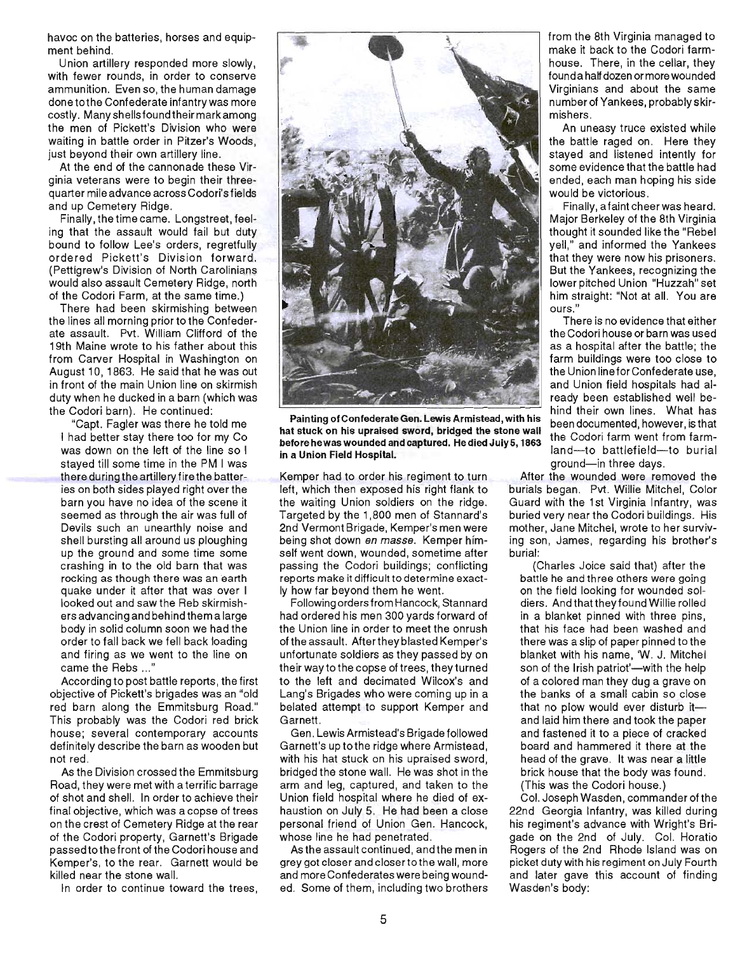havoc on the batteries, horses and equipment behind.

Union artillery responded more slowly, with fewer rounds, in order to conserve ammunition. Even so, the human damage donetothe Confederate infantry was more costly. Many shellsfound their mark among the men of Pickett's Division who were waiting in battle order in Pitzer's Woods, just beyond their own artillery line.

At the end of the cannonade these Virginia veterans were to begin their threequarter mile advance across Codori's fields and up Cemetery Ridge.

Finally, the time came. Longstreet, feeling that the assault would fail but duty bound to follow Lee's orders, regretfully ordered Pickett's Division forward. (Pettigrew's Division of North Carolinians would also assault Cemetery Ridge, north of the Codori Farm, at the same time.)

There had been skirmishing between the lines all morning prior to the Confederate assault. Pvt. William Clifford of the 19th Maine wrote to his father about this from Carver Hospital in Washington on August 10, 1863. He said that he was out in front of the main Union line on skirmish duty when he ducked in a barn (which was the Codori barn). He continued:

"Capt. Fagler was there he told me I had better stay there too for my Co was down on the left of the line so I stayed till some time in the PM I was there during the artillery fire the batteries on both sides played right over the barn you have no idea of the scene it seemed as through the air was full of Devils such an unearthly noise and shell bursting all around us ploughing up the ground and some time some crashing in to the old barn that was rocking as though there was an earth quake under it after that was over I looked out and saw the Reb skirmishers advancing and behind them a large body in solid column soon we had the order to fall back we fell back loading and firing as we went to the line on came the Rebs ... "

According to post battle reports , the first objective of Pickett's brigades was an "old red barn along the Emmitsburg Road." This probably was the Codori red brick house; several contemporary accounts definitely describe the barn as wooden but not red.

As the Division crossed the Emmitsburg Road, they were met with a terrific barrage of shot and shell. In order to achieve their final objective, which was a copse of trees on the crest of Cemetery Ridge at the rear of the Codori property, Garnett's Brigade passedtothefront of the Codori house and Kemper's, to the rear. Garnett would be killed near the stone wall.

In order to continue toward the trees,



Painting of Confederate Gen. Lewis Armistead, with his hat stuck on his upraised sword, bridged the stone wall before hewas wounded and captured. He died July 5,1863 in a Union Field Hospital.

Kemper had to order his regiment to turn left, which then exposed his right flank to the waiting Union soldiers on the ridge. Targeted by the 1,800 men of Stannard's 2nd Vermont Brigade, Kemper's men were being shot down en masse. Kemper himself went down, wounded, sometime after passing the Codori buildings; conflicting reports make it difficult to determine exactly how far beyond them he went.

Following orders from Hancock, Stannard had ordered his men 300 yards forward of the Union line in order to meet the onrush of the assault. After they blasted Kemper's unfortunate soldiers as they passed by on their way to the copse of trees, they turned to the left and decimated Wilcox's and Lang's Brigades who were coming up in a belated attempt to support Kemper and Garnett.

Gen. Lewis Armistead's Brigade followed Garnett's up tothe ridge where Armistead, with his hat stuck on his upraised sword, bridged the stone wall. He was shot in the arm and leg, captured, and taken to the Union field hospital where he died of exhaustion on July 5. He had been a close personal friend of Union Gen. Hancock, whose line he had penetrated.

As the assault continued, and the men in grey got closer and closertothe wall, more and more Confederates were being wounded. Some of them, including two brothers from the 8th Virginia managed to make it back to the Codori farmhouse. There, in the cellar, they found a half dozen or more wou nded Virginians and about the same number of Yankees, probably skirmishers.

An uneasy truce existed while the battle raged on. Here they stayed and listened intently for some evidence that the battle had ended, each man hoping his side would be victorious.

Finally, a faint cheer was heard. Major Berkeley of the 8th Virginia thought it sounded like the "Rebel yell," and informed the Yankees that they were now his prisoners. But the Yankees, recognizing the lower pitched Union "Huzzah" set him straight: "Not at all. You are ours."

There is no evidence that either the Codori house or barn was used as a hospital atter the battle; the farm buildings were too close to the Union line for Confederate use, and Union field hospitals had already been established well behind their own lines. What has been documented, however, is that the Codori farm went from farmland-to battlefield-to burial ground-in three days.

After the wounded were removed the burials began. Pvt. Willie Mitchel, Color Guard with the 1st Virginia Infantry, was buried very near the Codori buildings. His mother, Jane Mitchel, wrote to her surviving son, James, regarding his brother's burial:

(Charles Joice said that) after the battle he and three others were going on the field looking for wounded soldiers. And that they found Willie rolled in a blanket pinned with three pins, that his face had been washed and there was a slip of paper pinned to the blanket with his name, 'W. J. Mitchel son of the Irish patriot'-with the help of a colored man they dug a grave on the banks of a small cabin so close that no plow would ever disturb itand laid him there and took the paper and fastened it to a piece of cracked board and hammered it there at the head of the grave. It was near a little brick house that the body was found. (This was the Codori house.)

Col. Joseph Wasden, commander of the 22nd Georgia Infantry, was killed during his regiment's advance with Wright's Brigade on the 2nd of July. Col. Horatio Rogers of the 2nd Rhode Island was on picket duty with his regiment on July Fourth and later gave this account of finding Wasden's body: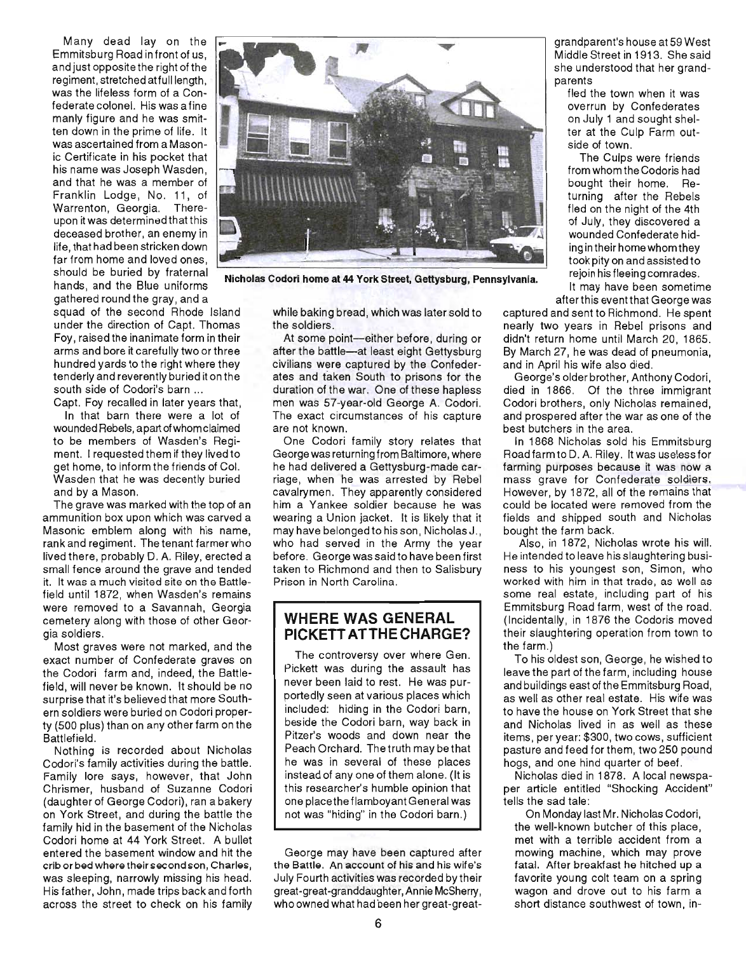Many dead lay on the Emmitsburg Road in front of us, and just opposite the right of the regiment, stretched at full length , was the lifeless form of a Confederate colonel. His was a fine manly figure and he was smitten down in the prime of life. It was ascertained from a Masonic Certificate in his pocket that his name was Joseph Wasden, and that he was a member of Franklin Lodge, No. 11, of Warrenton, Georgia. Thereupon it was determined that this deceased brother, an enemy in life, that had been stricken down far from home and loved ones, should be buried by fraternal hands, and the Blue uniforms gathered round the gray, and a

squad of the second Rhode Island under the direction of Capt. Thomas Foy, raised the inanimate form in their arms and bore it carefully two or three hundred yards to the right where they tenderly and reverently buried it on the south side of Codori's barn ...

Capt. Foy recalled in later years that,

In that barn there were a lot of wounded Rebels, apart of whom claimed to be members of Wasden's Regiment. I requested them if they lived to get home, to inform the friends of Col. Wasden that he was decently buried and by a Mason.

The grave was marked with the top of an ammunition box upon which was carved a Masonic emblem along with his name, rank and regiment. The tenant farmer who lived there, probably D. A. Riley, erected a small fence around the grave and tended it. It was a much visited site on the Battlefield until 1872, when Wasden's remains were removed to a Savannah, Georgia cemetery along with those of other Georgia soldiers.

Most graves were not marked, and the exact number of Confederate graves on the Codori farm and, indeed, the Battlefield, will never be known. It should be no surprise that it's believed that more Southern soldiers were buried on Codori property (500 plus) than on any other farm on the Battlefield.

Nothing is recorded about Nicholas Codori's family activities during the battle. Family lore says, however, that John Chrismer, husband of Suzanne Codori (daughter of George Codori), ran a bakery on York Street, and during the battle the family hid in the basement of the Nicholas Codori home at 44 York Street. A bullet entered the basement window and hit the crib orbed where their second son, Charles, was sleeping, narrowly missing his head. His father, John, made trips back and forth across the street to check on his family

while baking bread, which was later sold to the soldiers.

**Nicholas Codori home at 44 York Street, Gettysburg, Pennsylvania.** 

At some point-either before, during or after the battle-at least eight Gettysburg civilians were captured by the Confederates and taken South to prisons for the duration of the war. One of these hapless men was 57-year-old George A. Codori. The exact circumstances of his capture are not known.

One Codori family story relates that George was returning from Baltimore, where he had delivered a Gettysburg-made carriage, when he was arrested by Rebel cavalrymen. They apparently considered him a Yankee soldier because he was wearing a Union jacket. It is likely that it may have belonged to his son , Nicholas J., who had served in the Army the year before. George was said to have been first taken to Richmond and then to Salisbury Prison in North Carolina.

#### **WHERE WAS GENERAL PICKETTATTHECHARGE?**

The controversy over where Gen. Pickett was during the assault has never been laid to rest. He was purportedly seen at various places which included: hiding in the Codori barn, beside the Codori barn, way back in Pitzer's woods and down near the Peach Orchard. The truth may be that he was in several of these places instead of anyone of them alone. (It is this researcher's humble opinion that one place the flamboyant General was not was "hiding" in the Codori barn.)

George may have been captured after the Battle. An account of his and his wife's July Fourth activities was recorded by their great-great-granddaughter, Annie McSherry, who owned what had been her great-greatMiddle Street in 1913. She said parents

fled the town when it was overrun by Confederates on July 1 and sought shelter at the Culp Farm outside of town.

The Culps were friends from whom the Codoris had bought their home. Returning after the Rebels fled on the night of the 4th of July, they discovered a wounded Confederate hiding in their home whom they took pity on and assisted to rejoin his fleeing comrades.

It may have been sometime after this event that George was

captured and sent to Richmond. He spent nearly two years in Rebel prisons and didn't return home until March 20, 1865. By March 27, he was dead of pneumonia, and in April his wife also died.

George's older brother, Anthony Codori, died in 1866. Of the three immigrant Codori brothers, only Nicholas remained, and prospered after the war as one of the best butchers in the area.

In 1868 Nicholas sold his Emmitsburg Road farm to D. A. Riley. It was useless for farming purposes because it was now a mass grave for Confederate soldiers. However, by 1872, all of the remains that could be located were removed from the fields and shipped south and Nicholas bought the farm back.

Also, in 1872, Nicholas wrote his will. He intended to leave his slaughtering business to his youngest son, Simon, who worked with him in that trade, as well as some real estate, including part of his Emmitsburg Road farm, west of the road. (Incidentally, in 1876 the Codoris moved their slaughtering operation from town to the farm.)

To his oldest son, George, he wished to leave the part of the farm, including house and buildings east of the Emmitsburg Road, as well as other real estate. His wife was to have the house on York Street that she and Nicholas lived in as well as these items, per year: \$300, two cows , sufficient pasture and feed for them, two 250 pound hogs, and one hind quarter of beef.

Nicholas died in 1878. A local newspaper article entitled "Shocking Accident" tells the sad tale:

On Monday last Mr. Nicholas Codori, the well-known butcher of this place, met with a terrible accident from a mowing machine, which may prove fatal. After breakfast he hitched up a favorite young colt team on a spring wagon and drove out to his farm a short distance southwest of town, in-

6

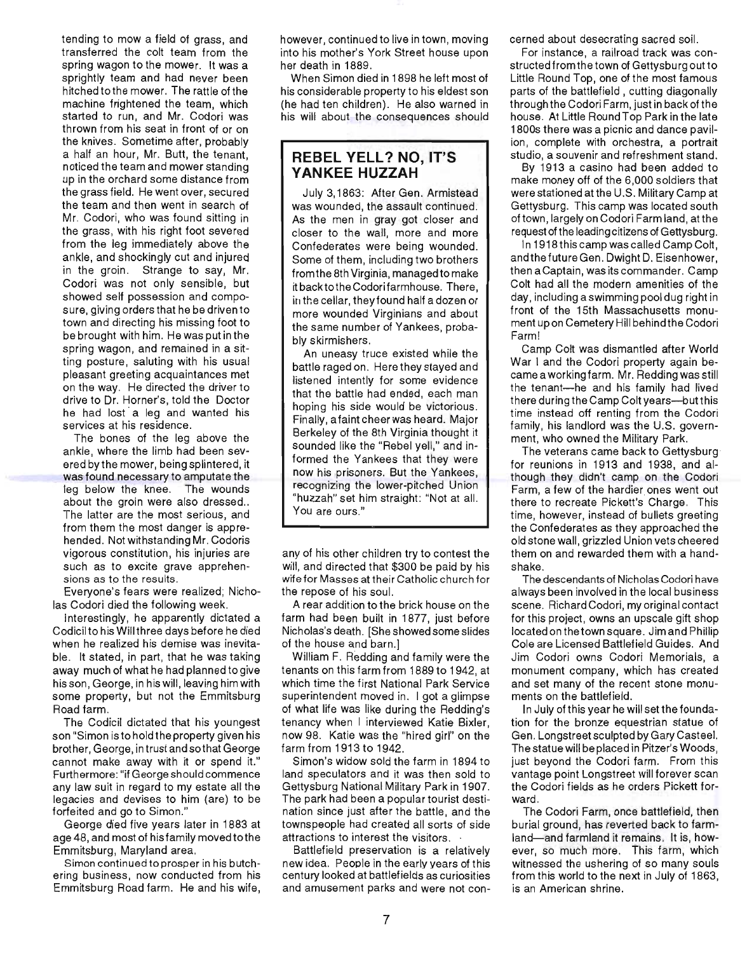tending to mow a field of grass, and transferred the colt team from the spring wagon to the mower. It was a sprightly team and had never been hitched to the mower. The rattle of the machine frightened the team, which started to run, and Mr. Codori was thrown from his seat in front of or on the knives. Sometime after, probably a half an hour, Mr. Butt, the tenant, noticed the team and mower standing up in the orchard some distance from the grass field. He went over, secured the team and then went in search of Mr. Codori, who was found sitting in the grass, with his right foot severed from the leg immediately above the ankle, and shockingly cut and injured in the groin. Strange to say, Mr. Codori was not only sensible, but showed self possession and composure, giving orders that he be driven to town and directing his missing foot to be brought with him. He was put in the spring wagon, and remained in a sitting posture, saluting with his usual pleasant greeting acquaintances met on the way. He directed the driver to drive to Dr. Horner's, told the Doctor he had lost a leg and wanted his services at his residence.

The bones of the leg above the ankle, where the limb had been severed by the mower, being splintered, it was found necessary to amputate the leg below the knee. The wounds about the groin were also dressed.. The latter are the most serious, and from them the most danger is apprehended. Not withstanding Mr. Codoris vigorous constitution, his injuries are such as to excite grave apprehensions as to the results.

Everyone's fears were realized; Nicholas Codori died the following week.

Interestingly, he apparently dictated a Codicil to his Will three days before he died when he realized his demise was inevitable. It stated, in part, that he was taking away much of what he had planned to give his son, George, in his will, leaving him with some property, but not the Emmitsburg Road farm.

The Codicil dictated that his youngest son "Simon is to hold the property given his brother, George, intrust and sothat George cannot make away with it or spend it." Furthermore: "if George should commence any law suit in regard to my estate all the legacies and devises to him (are) to be forfeited and go to Simon."

George died five years later in 1883 at age 48, and most of his family moved to the Emmitsburg, Maryland area.

Simon continued to prosper in his butchering business, now conducted from his Emmitsburg Road farm. He and his wife, however, continued to live in town, moving into his mother's York Street house upon her death in 1889.

When Simon died in 1898 he left most of his considerable property to his eldest son (he had ten children). He also warned in his will about the consequences should

#### **REBEL YELL? NO, IT'S YANKEE HUZZAH**

July 3,1863: After Gen. Armistead was wounded, the assault continued. As the men in gray got closer and closer to the wall, more and more Confederates were being wounded. Some of them, including two brothers from the 8th Virgin ia, managed to make it backtothe Codorifarmhouse. There, in the cellar, they found half a dozen or more wounded Virginians and about the same number of Yankees, probably skirmishers.

An uneasy truce existed while the battle raged on. Here they stayed and listened intently for some evidence that the battle had ended, each man hoping his side would be victorious. Finally, a faint cheer was heard. Major Berkeley of the 8th Virginia thought it sounded like the "Rebel yell," and informed the Yankees that they were now his prisoners. But the Yankees, recognizing the lower-pitched Union "huzzah" set him straight: "Not at all. You are ours."

any of his other children try to contest the will, and directed that \$300 be paid by his wife for Masses at their Catholic church for the repose of his soul.

A rear addition to the brick house on the farm had been built in 1877, just before Nicholas's death. [She showed some slides of the house and barn.)

William F. Redding and family were the tenants on this farm from 1889 to 1942, at which time the first National Park Service superintendent moved in. I got a glimpse of what life was like during the Redding's tenancy when I interviewed Katie Bixler, now 98. Katie was the "hired girl" on the farm from 1913 to 1942.

Simon's widow sold the farm in 1894 to land speculators and it was then sold to Gettysburg National Military Park in 1907. The park had been a popular tourist destination since just after the battle, and the townspeople had created all sorts of side attractions to interest the visitors. .

Battlefield preservation is a relatively new idea. People in the early years of this century looked at battlefields as curiosities and amusement parks and were not concerned about desecrating sacred soil.

For instance, a railroad track was constructed from the town of Gettysburg out to Little Round Top, one of the most famous parts of the battlefield, cutting diagonally through the Codori Farm, just in back of the house. At Little RoundTop Park in the late 1800s there was a picnic and dance pavilion, complete with orchestra, a portrait studio, a souvenir and refreshment stand.

By 1913 a casino had been added to make money off of the 6,000 soldiers that were stationed at the U.S. Military Camp at Gettysburg. This camp was located south of town, largely on Codori Farm land, at the request of the leading citizens of Gettysburg.

In 1918 this camp was called Camp Colt, and the future Gen. Dwight D. Eisenhower, then a Captain, was its commander. Camp Colt had all the modern amenities of the day, including a swimming pool dug right in front of the 15th Massachusetts monument up on Cemetery Hill behind the Codori Farm!

Camp Colt was dismantled after World War I and the Codori property again becamea working farm. Mr. Redding was still the tenant-he and his family had lived there during the Camp Colt years-but this time instead off renting from the Codori family, his landlord was the U.S. government, who owned the Military Park.

The veterans came back to Gettysburg for reunions in 1913 and 1938, and although they didn't camp on the Codori Farm, a few of the hardier ones went out there to recreate Pickett's Charge. This time, however, instead of bullets greeting the Confederates as they approached the old stone wall, grizzled Union vets cheered them on and rewarded them with a handshake.

The descendants of Nicholas Codori have always been involved in the local business scene. Richard Codori, my original contact for this project, owns an upscale gift shop located on the town square. Jim and Phillip Cole are Licensed Battlefield Guides. And Jim Codori owns Codori Memorials, a monument company, which has created and set many of the recent stone monuments on the battlefield.

In July ofthis year he will set the foundation for the bronze equestrian statue of Gen. Longstreet sculpted by Gary Casteel. The statue will be placed in Pitzer's Woods, just beyond the Codori farm. From this vantage point Longstreet will forever scan the Codori fields as he orders Pickett forward.

The Codori Farm, once battlefield, then burial ground, has reverted back to farmland-and farmland it remains. It is, however, so much more. This farm, which witnessed the ushering of so many souls from this world to the next in July of 1863, is an American shrine.